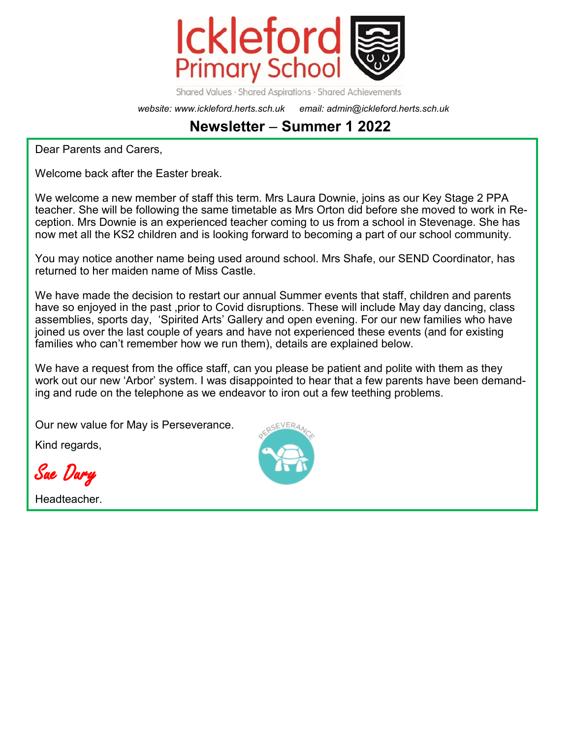

Shared Values · Shared Aspirations · Shared Achievements

*website: www.ickleford.herts.sch.uk email: admin@ickleford.herts.sch.uk*

# **Newsletter** – **Summer 1 2022**

Dear Parents and Carers,

Welcome back after the Easter break.

We welcome a new member of staff this term. Mrs Laura Downie, joins as our Key Stage 2 PPA teacher. She will be following the same timetable as Mrs Orton did before she moved to work in Reception. Mrs Downie is an experienced teacher coming to us from a school in Stevenage. She has now met all the KS2 children and is looking forward to becoming a part of our school community.

You may notice another name being used around school. Mrs Shafe, our SEND Coordinator, has returned to her maiden name of Miss Castle.

We have made the decision to restart our annual Summer events that staff, children and parents have so enjoyed in the past ,prior to Covid disruptions. These will include May day dancing, class assemblies, sports day, 'Spirited Arts' Gallery and open evening. For our new families who have joined us over the last couple of years and have not experienced these events (and for existing families who can't remember how we run them), details are explained below.

We have a request from the office staff, can you please be patient and polite with them as they work out our new 'Arbor' system. I was disappointed to hear that a few parents have been demanding and rude on the telephone as we endeavor to iron out a few teething problems.

Our new value for May is Perseverance.

Kind regards,

Sue Dury

Headteacher.

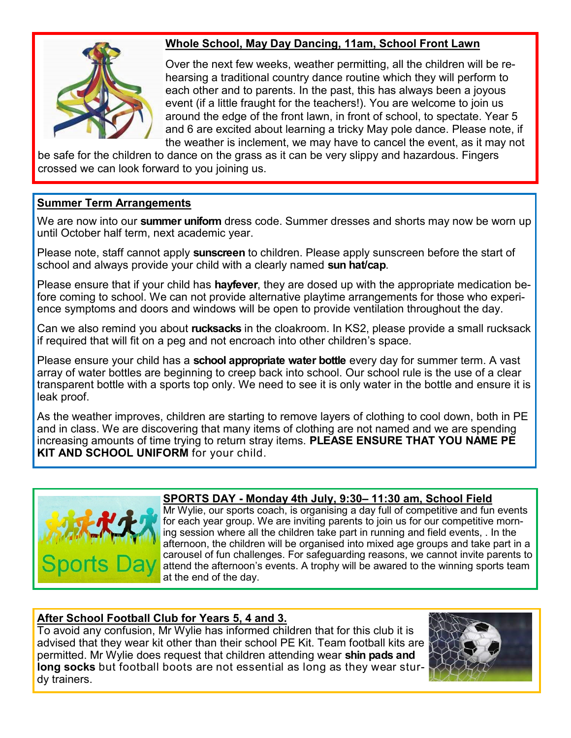

## **Whole School, May Day Dancing, 11am, School Front Lawn**

Over the next few weeks, weather permitting, all the children will be rehearsing a traditional country dance routine which they will perform to each other and to parents. In the past, this has always been a joyous event (if a little fraught for the teachers!). You are welcome to join us around the edge of the front lawn, in front of school, to spectate. Year 5 and 6 are excited about learning a tricky May pole dance. Please note, if the weather is inclement, we may have to cancel the event, as it may not

be safe for the children to dance on the grass as it can be very slippy and hazardous. Fingers crossed we can look forward to you joining us.

### **Summer Term Arrangements**

We are now into our **summer uniform** dress code. Summer dresses and shorts may now be worn up until October half term, next academic year.

Please note, staff cannot apply **sunscreen** to children. Please apply sunscreen before the start of school and always provide your child with a clearly named **sun hat/cap**.

Please ensure that if your child has **hayfever**, they are dosed up with the appropriate medication before coming to school. We can not provide alternative playtime arrangements for those who experience symptoms and doors and windows will be open to provide ventilation throughout the day.

Can we also remind you about **rucksacks** in the cloakroom. In KS2, please provide a small rucksack if required that will fit on a peg and not encroach into other children's space.

Please ensure your child has a **school appropriate water bottle** every day for summer term. A vast array of water bottles are beginning to creep back into school. Our school rule is the use of a clear transparent bottle with a sports top only. We need to see it is only water in the bottle and ensure it is leak proof.

As the weather improves, children are starting to remove layers of clothing to cool down, both in PE and in class. We are discovering that many items of clothing are not named and we are spending increasing amounts of time trying to return stray items. **PLEASE ENSURE THAT YOU NAME PE KIT AND SCHOOL UNIFORM** for your child.



### **SPORTS DAY - Monday 4th July, 9:30– 11:30 am, School Field**

Mr Wylie, our sports coach, is organising a day full of competitive and fun events for each year group. We are inviting parents to join us for our competitive morning session where all the children take part in running and field events, . In the afternoon, the children will be organised into mixed age groups and take part in a carousel of fun challenges. For safeguarding reasons, we cannot invite parents to attend the afternoon's events. A trophy will be awared to the winning sports team at the end of the day.

### **After School Football Club for Years 5, 4 and 3.**

To avoid any confusion, Mr Wylie has informed children that for this club it is advised that they wear kit other than their school PE Kit. Team football kits are permitted. Mr Wylie does request that children attending wear **shin pads and long socks** but football boots are not essential as long as they wear sturdy trainers.

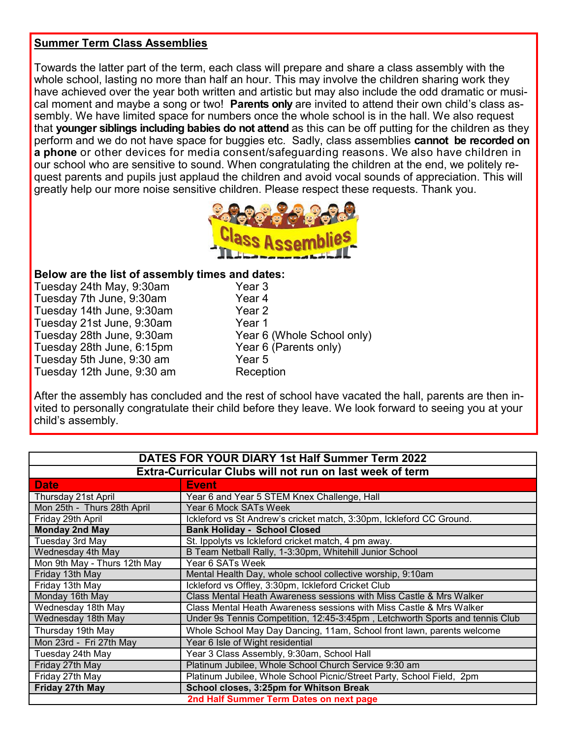#### **Summer Term Class Assemblies**

Towards the latter part of the term, each class will prepare and share a class assembly with the whole school, lasting no more than half an hour. This may involve the children sharing work they have achieved over the year both written and artistic but may also include the odd dramatic or musical moment and maybe a song or two! **Parents only** are invited to attend their own child's class assembly. We have limited space for numbers once the whole school is in the hall. We also request that **younger siblings including babies do not attend** as this can be off putting for the children as they perform and we do not have space for buggies etc. Sadly, class assemblies **cannot be recorded on a phone** or other devices for media consent/safeguarding reasons. We also have children in our school who are sensitive to sound. When congratulating the children at the end, we politely request parents and pupils just applaud the children and avoid vocal sounds of appreciation. This will greatly help our more noise sensitive children. Please respect these requests. Thank you.



#### **Below are the list of assembly times and dates:**

| Tuesday 24th May, 9:30am   |
|----------------------------|
| Tuesday 7th June, 9:30am   |
| Tuesday 14th June, 9:30am  |
| Tuesday 21st June, 9:30am  |
| Tuesday 28th June, 9:30am  |
| Tuesday 28th June, 6:15pm  |
| Tuesday 5th June, 9:30 am  |
| Tuesday 12th June, 9:30 am |

Year 3 Year 4 Year 2 Year 1 Year 6 (Whole School only) Year 6 (Parents only) Year 5 Reception

After the assembly has concluded and the rest of school have vacated the hall, parents are then invited to personally congratulate their child before they leave. We look forward to seeing you at your child's assembly.

| DATES FOR YOUR DIARY 1st Half Summer Term 2022           |                                                                              |  |
|----------------------------------------------------------|------------------------------------------------------------------------------|--|
| Extra-Curricular Clubs will not run on last week of term |                                                                              |  |
| <b>Date</b>                                              | <b>Event</b>                                                                 |  |
| Thursday 21st April                                      | Year 6 and Year 5 STEM Knex Challenge, Hall                                  |  |
| Mon 25th - Thurs 28th April                              | Year 6 Mock SATs Week                                                        |  |
| Friday 29th April                                        | Ickleford vs St Andrew's cricket match, 3:30pm, Ickleford CC Ground.         |  |
| <b>Monday 2nd May</b>                                    | <b>Bank Holiday - School Closed</b>                                          |  |
| Tuesday 3rd May                                          | St. Ippolyts vs Ickleford cricket match, 4 pm away.                          |  |
| Wednesday 4th May                                        | B Team Netball Rally, 1-3:30pm, Whitehill Junior School                      |  |
| Mon 9th May - Thurs 12th May                             | Year 6 SATs Week                                                             |  |
| Friday 13th May                                          | Mental Health Day, whole school collective worship, 9:10am                   |  |
| Friday 13th May                                          | Ickleford vs Offley, 3:30pm, Ickleford Cricket Club                          |  |
| Monday 16th May                                          | Class Mental Heath Awareness sessions with Miss Castle & Mrs Walker          |  |
| Wednesday 18th May                                       | Class Mental Heath Awareness sessions with Miss Castle & Mrs Walker          |  |
| Wednesday 18th May                                       | Under 9s Tennis Competition, 12:45-3:45pm, Letchworth Sports and tennis Club |  |
| Thursday 19th May                                        | Whole School May Day Dancing, 11am, School front lawn, parents welcome       |  |
| Mon 23rd - Fri 27th May                                  | Year 6 Isle of Wight residential                                             |  |
| Tuesday 24th May                                         | Year 3 Class Assembly, 9:30am, School Hall                                   |  |
| Friday 27th May                                          | Platinum Jubilee, Whole School Church Service 9:30 am                        |  |
| Friday 27th May                                          | Platinum Jubilee, Whole School Picnic/Street Party, School Field, 2pm        |  |
| Friday 27th May                                          | School closes, 3:25pm for Whitson Break                                      |  |
|                                                          | 2nd Half Summer Term Dates on next page                                      |  |